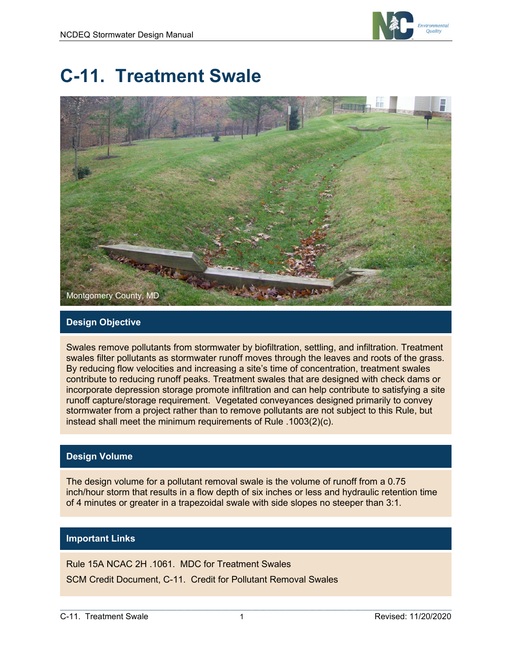

# **C-11. Treatment Swale**



#### **Design Objective**

Swales remove pollutants from stormwater by biofiltration, settling, and infiltration. Treatment swales filter pollutants as stormwater runoff moves through the leaves and roots of the grass. By reducing flow velocities and increasing a site's time of concentration, treatment swales contribute to reducing runoff peaks. Treatment swales that are designed with check dams or incorporate depression storage promote infiltration and can help contribute to satisfying a site runoff capture/storage requirement. Vegetated conveyances designed primarily to convey stormwater from a project rather than to remove pollutants are not subject to this Rule, but instead shall meet the minimum requirements of Rule .1003(2)(c).

#### **Design Volume**

The design volume for a pollutant removal swale is the volume of runoff from a 0.75 inch/hour storm that results in a flow depth of six inches or less and hydraulic retention time of 4 minutes or greater in a trapezoidal swale with side slopes no steeper than 3:1.

#### **Important Links**

Rule 15A NCAC 2H .1061. MDC for Treatment Swales

SCM Credit Document, C-11. Credit for Pollutant Removal Swales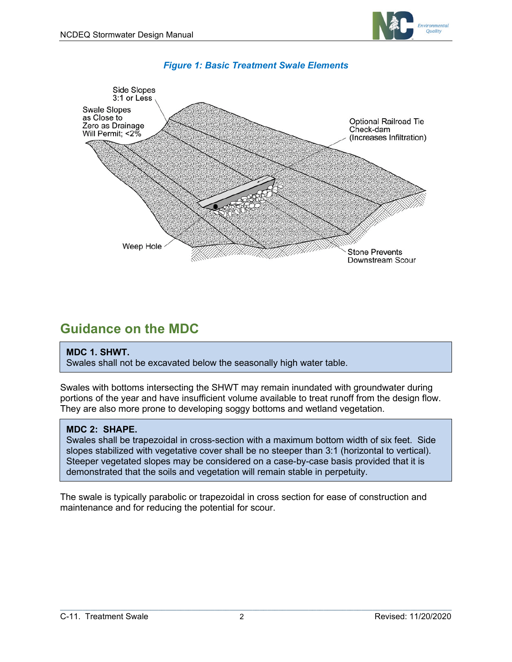



#### *Figure 1: Basic Treatment Swale Elements*

### **Guidance on the MDC**

#### **MDC 1. SHWT.**

Swales shall not be excavated below the seasonally high water table.

Swales with bottoms intersecting the SHWT may remain inundated with groundwater during portions of the year and have insufficient volume available to treat runoff from the design flow. They are also more prone to developing soggy bottoms and wetland vegetation.

#### **MDC 2: SHAPE.**

Swales shall be trapezoidal in cross-section with a maximum bottom width of six feet. Side slopes stabilized with vegetative cover shall be no steeper than 3:1 (horizontal to vertical). Steeper vegetated slopes may be considered on a case-by-case basis provided that it is demonstrated that the soils and vegetation will remain stable in perpetuity.

The swale is typically parabolic or trapezoidal in cross section for ease of construction and maintenance and for reducing the potential for scour.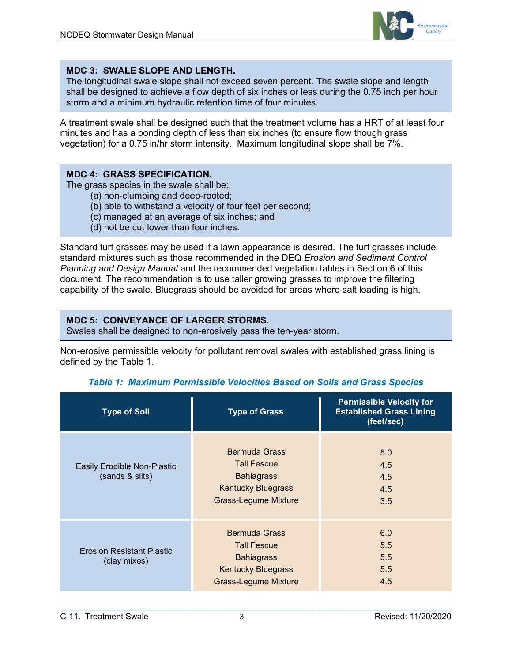

#### **MDC 3: SWALE SLOPE AND LENGTH.**

The longitudinal swale slope shall not exceed seven percent. The swale slope and length shall be designed to achieve a flow depth of six inches or less during the 0.75 inch per hour storm and a minimum hydraulic retention time of four minutes.

A treatment swale shall be designed such that the treatment volume has a HRT of at least four minutes and has a ponding depth of less than six inches (to ensure flow though grass vegetation) for a 0.75 in/hr storm intensity. Maximum longitudinal slope shall be 7%.

#### **MDC 4: GRASS SPECIFICATION.**

The grass species in the swale shall be:

- (a) non-clumping and deep-rooted;
- (b) able to withstand a velocity of four feet per second;
- (c) managed at an average of six inches; and
- (d) not be cut lower than four inches.

Standard turf grasses may be used if a lawn appearance is desired. The turf grasses include standard mixtures such as those recommended in the DEQ *Erosion and Sediment Control Planning and Design Manual* and the recommended vegetation tables in Section 6 of this document. The recommendation is to use taller growing grasses to improve the filtering capability of the swale. Bluegrass should be avoided for areas where salt loading is high.

#### **MDC 5: CONVEYANCE OF LARGER STORMS.**

Swales shall be designed to non-erosively pass the ten-year storm.

Non-erosive permissible velocity for pollutant removal swales with established grass lining is defined by the Table 1.

| <b>Type of Soil</b>                              | <b>Type of Grass</b>                                                                                                        | <b>Permissible Velocity for</b><br><b>Established Grass Lining</b><br>(feet/sec) |
|--------------------------------------------------|-----------------------------------------------------------------------------------------------------------------------------|----------------------------------------------------------------------------------|
| Easily Erodible Non-Plastic<br>(sands & silts)   | <b>Bermuda Grass</b><br><b>Tall Fescue</b><br><b>Bahiagrass</b><br><b>Kentucky Bluegrass</b><br><b>Grass-Legume Mixture</b> | 5.0<br>4.5<br>4.5<br>4.5<br>3.5                                                  |
| <b>Erosion Resistant Plastic</b><br>(clay mixes) | <b>Bermuda Grass</b><br><b>Tall Fescue</b><br><b>Bahiagrass</b><br><b>Kentucky Bluegrass</b><br><b>Grass-Legume Mixture</b> | 6.0<br>5.5<br>5.5<br>5.5<br>4.5                                                  |

#### *Table 1: Maximum Permissible Velocities Based on Soils and Grass Species*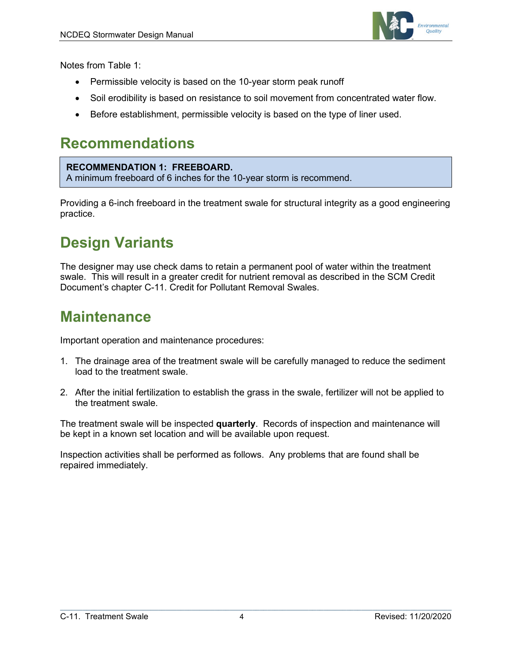

Notes from Table 1:

- Permissible velocity is based on the 10-year storm peak runoff
- Soil erodibility is based on resistance to soil movement from concentrated water flow.
- Before establishment, permissible velocity is based on the type of liner used.

### **Recommendations**

#### **RECOMMENDATION 1: FREEBOARD.**  A minimum freeboard of 6 inches for the 10-year storm is recommend.

Providing a 6-inch freeboard in the treatment swale for structural integrity as a good engineering practice.

## **Design Variants**

The designer may use check dams to retain a permanent pool of water within the treatment swale. This will result in a greater credit for nutrient removal as described in the SCM Credit Document's chapter C-11. Credit for Pollutant Removal Swales.

### **Maintenance**

Important operation and maintenance procedures:

- 1. The drainage area of the treatment swale will be carefully managed to reduce the sediment load to the treatment swale.
- 2. After the initial fertilization to establish the grass in the swale, fertilizer will not be applied to the treatment swale.

The treatment swale will be inspected **quarterly**. Records of inspection and maintenance will be kept in a known set location and will be available upon request.

Inspection activities shall be performed as follows. Any problems that are found shall be repaired immediately.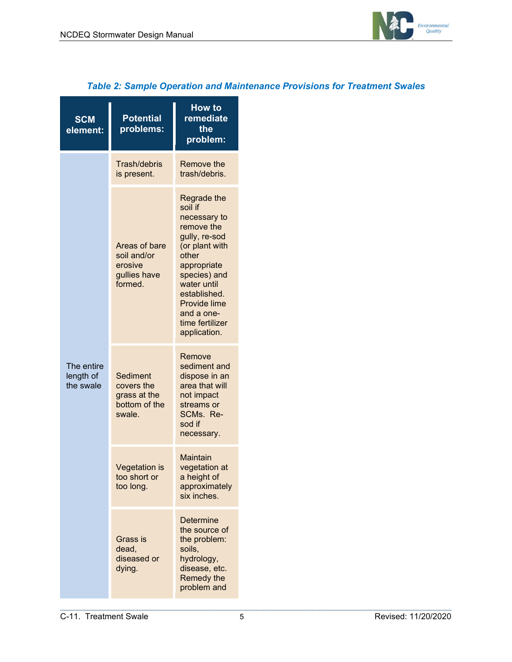

| <b>SCM</b><br>element:               | <b>Potential</b><br>problems:                                      | <b>How to</b><br>remediate<br>the<br>problem:                                                                                                                                                                                          |
|--------------------------------------|--------------------------------------------------------------------|----------------------------------------------------------------------------------------------------------------------------------------------------------------------------------------------------------------------------------------|
| The entire<br>length of<br>the swale | Trash/debris<br>is present.                                        | Remove the<br>trash/debris.                                                                                                                                                                                                            |
|                                      | Areas of bare<br>soil and/or<br>erosive<br>gullies have<br>formed. | Regrade the<br>soil if<br>necessary to<br>remove the<br>gully, re-sod<br>(or plant with<br>other<br>appropriate<br>species) and<br>water until<br>established.<br><b>Provide lime</b><br>and a one-<br>time fertilizer<br>application. |
|                                      | Sediment<br>covers the<br>grass at the<br>bottom of the<br>swale.  | Remove<br>sediment and<br>dispose in an<br>area that will<br>not impact<br>streams or<br>SCMs. Re-<br>sod if<br>necessary.                                                                                                             |
|                                      | <b>Vegetation is</b><br>too short or<br>too long.                  | Maintain<br>vegetation at<br>a height of<br>approximately<br>six inches.                                                                                                                                                               |
|                                      | Grass is<br>dead,<br>diseased or<br>dying.                         | <b>Determine</b><br>the source of<br>the problem:<br>soils,<br>hydrology,<br>disease, etc.<br>Remedy the<br>problem and                                                                                                                |

#### *Table 2: Sample Operation and Maintenance Provisions for Treatment Swales*